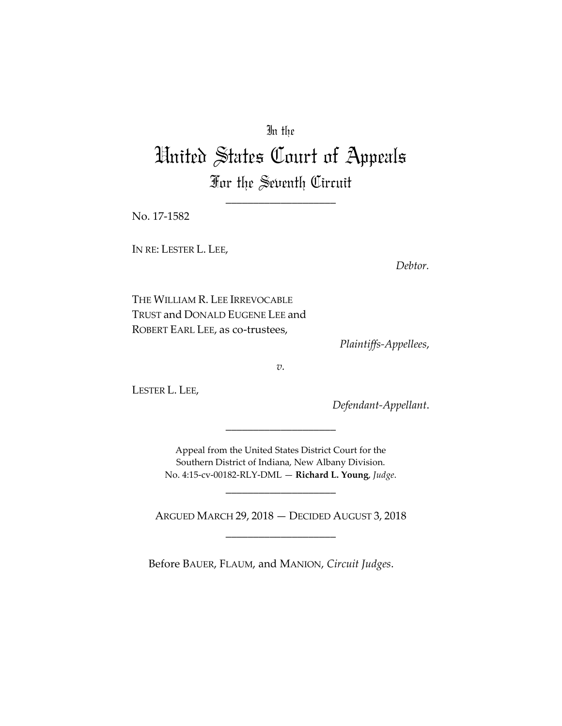# In the

# United States Court of Appeals For the Seventh Circuit

\_\_\_\_\_\_\_\_\_\_\_\_\_\_\_\_\_\_\_\_

No. 17-1582

IN RE: LESTER L. LEE,

*Debtor.*

THE WILLIAM R. LEE IRREVOCABLE TRUST and DONALD EUGENE LEE and ROBERT EARL LEE, as co-trustees,

*Plaintiffs-Appellees*,

*v.*

LESTER L. LEE,

*Defendant-Appellant*.

Appeal from the United States District Court for the Southern District of Indiana, New Albany Division. No. 4:15-cv-00182-RLY-DML — **Richard L. Young**, *Judge*.

\_\_\_\_\_\_\_\_\_\_\_\_\_\_\_\_\_\_\_\_

\_\_\_\_\_\_\_\_\_\_\_\_\_\_\_\_\_\_\_\_

ARGUED MARCH 29, 2018 — DECIDED AUGUST 3, 2018 \_\_\_\_\_\_\_\_\_\_\_\_\_\_\_\_\_\_\_\_

Before BAUER, FLAUM, and MANION, *Circuit Judges*.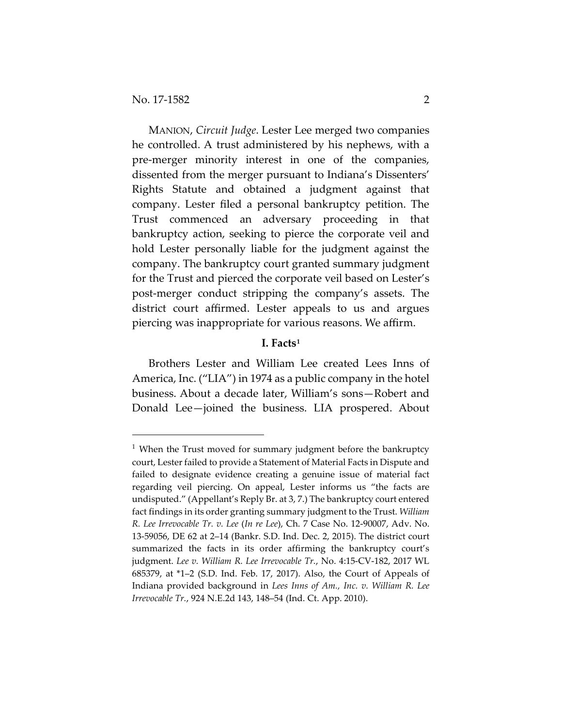MANION, *Circuit Judge*. Lester Lee merged two companies he controlled. A trust administered by his nephews, with a pre-merger minority interest in one of the companies, dissented from the merger pursuant to Indiana's Dissenters' Rights Statute and obtained a judgment against that company. Lester filed a personal bankruptcy petition. The Trust commenced an adversary proceeding in that bankruptcy action, seeking to pierce the corporate veil and hold Lester personally liable for the judgment against the company. The bankruptcy court granted summary judgment for the Trust and pierced the corporate veil based on Lester's post-merger conduct stripping the company's assets. The district court affirmed. Lester appeals to us and argues piercing was inappropriate for various reasons. We affirm.

# **I. Facts[1](#page-1-0)**

Brothers Lester and William Lee created Lees Inns of America, Inc. ("LIA") in 1974 as a public company in the hotel business. About a decade later, William's sons—Robert and Donald Lee—joined the business. LIA prospered. About

<span id="page-1-0"></span><sup>&</sup>lt;sup>1</sup> When the Trust moved for summary judgment before the bankruptcy court, Lester failed to provide a Statement of Material Facts in Dispute and failed to designate evidence creating a genuine issue of material fact regarding veil piercing. On appeal, Lester informs us "the facts are undisputed." (Appellant's Reply Br. at 3, 7.) The bankruptcy court entered fact findings in its order granting summary judgment to the Trust. *William R. Lee Irrevocable Tr. v. Lee* (*In re Lee*), Ch. 7 Case No. 12-90007, Adv. No. 13-59056, DE 62 at 2–14 (Bankr. S.D. Ind. Dec. 2, 2015). The district court summarized the facts in its order affirming the bankruptcy court's judgment. *Lee v. William R. Lee Irrevocable Tr.*, No. 4:15-CV-182, 2017 WL 685379, at \*1–2 (S.D. Ind. Feb. 17, 2017). Also, the Court of Appeals of Indiana provided background in *Lees Inns of Am., Inc. v. William R. Lee Irrevocable Tr.*, 924 N.E.2d 143, 148–54 (Ind. Ct. App. 2010).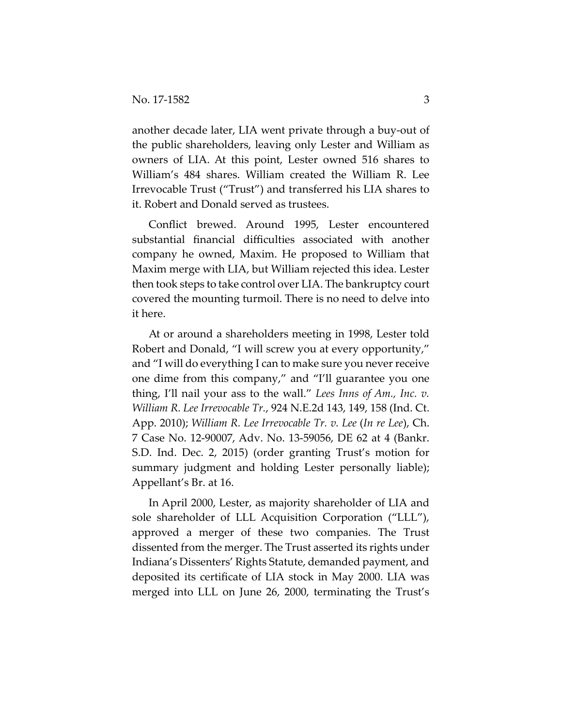another decade later, LIA went private through a buy-out of the public shareholders, leaving only Lester and William as owners of LIA. At this point, Lester owned 516 shares to William's 484 shares. William created the William R. Lee Irrevocable Trust ("Trust") and transferred his LIA shares to it. Robert and Donald served as trustees.

Conflict brewed. Around 1995, Lester encountered substantial financial difficulties associated with another company he owned, Maxim. He proposed to William that Maxim merge with LIA, but William rejected this idea. Lester then took steps to take control over LIA. The bankruptcy court covered the mounting turmoil. There is no need to delve into it here.

At or around a shareholders meeting in 1998, Lester told Robert and Donald, "I will screw you at every opportunity," and "I will do everything I can to make sure you never receive one dime from this company," and "I'll guarantee you one thing, I'll nail your ass to the wall." *Lees Inns of Am., Inc. v. William R. Lee Irrevocable Tr.*, 924 N.E.2d 143, 149, 158 (Ind. Ct. App. 2010); *William R. Lee Irrevocable Tr. v. Lee* (*In re Lee*), Ch. 7 Case No. 12-90007, Adv. No. 13-59056, DE 62 at 4 (Bankr. S.D. Ind. Dec. 2, 2015) (order granting Trust's motion for summary judgment and holding Lester personally liable); Appellant's Br. at 16.

In April 2000, Lester, as majority shareholder of LIA and sole shareholder of LLL Acquisition Corporation ("LLL"), approved a merger of these two companies. The Trust dissented from the merger. The Trust asserted its rights under Indiana's Dissenters' Rights Statute, demanded payment, and deposited its certificate of LIA stock in May 2000. LIA was merged into LLL on June 26, 2000, terminating the Trust's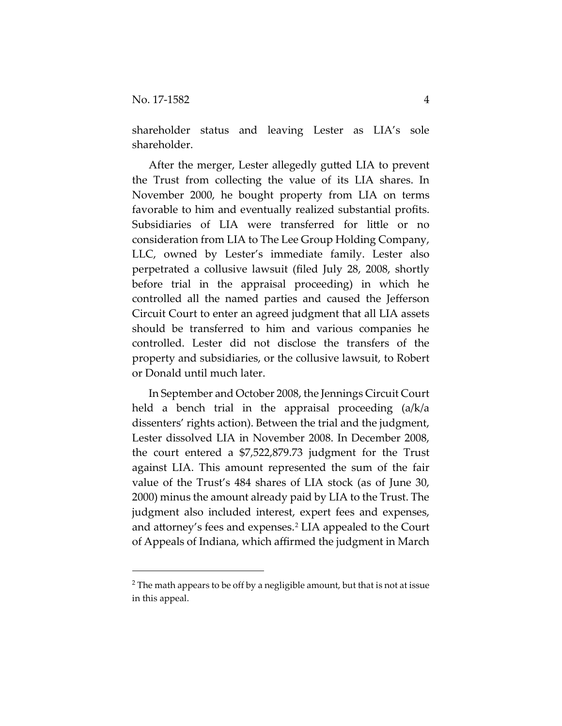shareholder status and leaving Lester as LIA's sole shareholder.

After the merger, Lester allegedly gutted LIA to prevent the Trust from collecting the value of its LIA shares. In November 2000, he bought property from LIA on terms favorable to him and eventually realized substantial profits. Subsidiaries of LIA were transferred for little or no consideration from LIA to The Lee Group Holding Company, LLC, owned by Lester's immediate family. Lester also perpetrated a collusive lawsuit (filed July 28, 2008, shortly before trial in the appraisal proceeding) in which he controlled all the named parties and caused the Jefferson Circuit Court to enter an agreed judgment that all LIA assets should be transferred to him and various companies he controlled. Lester did not disclose the transfers of the property and subsidiaries, or the collusive lawsuit, to Robert or Donald until much later.

In September and October 2008, the Jennings Circuit Court held a bench trial in the appraisal proceeding (a/k/a dissenters' rights action). Between the trial and the judgment, Lester dissolved LIA in November 2008. In December 2008, the court entered a \$7,522,879.73 judgment for the Trust against LIA. This amount represented the sum of the fair value of the Trust's 484 shares of LIA stock (as of June 30, 2000) minus the amount already paid by LIA to the Trust. The judgment also included interest, expert fees and expenses, and attorney's fees and expenses.<sup>[2](#page-3-0)</sup> LIA appealed to the Court of Appeals of Indiana, which affirmed the judgment in March

<span id="page-3-0"></span> $2$  The math appears to be off by a negligible amount, but that is not at issue in this appeal.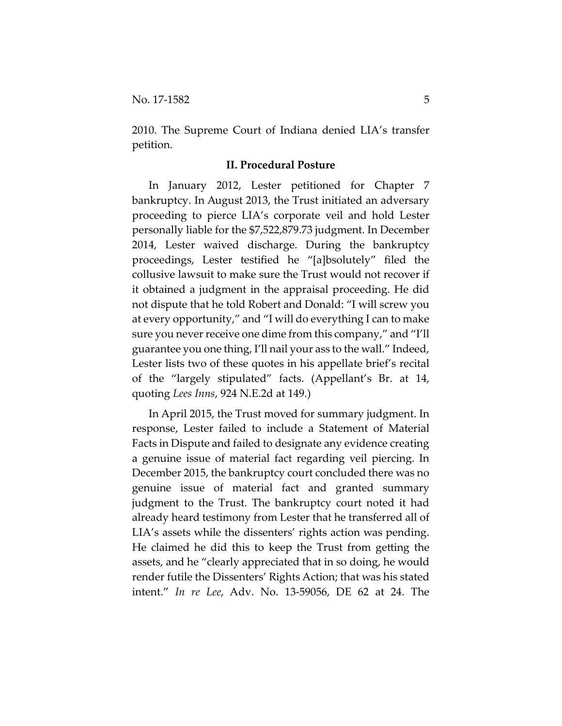2010. The Supreme Court of Indiana denied LIA's transfer petition.

#### **II. Procedural Posture**

In January 2012, Lester petitioned for Chapter 7 bankruptcy. In August 2013, the Trust initiated an adversary proceeding to pierce LIA's corporate veil and hold Lester personally liable for the \$7,522,879.73 judgment. In December 2014, Lester waived discharge. During the bankruptcy proceedings, Lester testified he "[a]bsolutely" filed the collusive lawsuit to make sure the Trust would not recover if it obtained a judgment in the appraisal proceeding. He did not dispute that he told Robert and Donald: "I will screw you at every opportunity," and "I will do everything I can to make sure you never receive one dime from this company," and "I'll guarantee you one thing, I'll nail your ass to the wall." Indeed, Lester lists two of these quotes in his appellate brief's recital of the "largely stipulated" facts. (Appellant's Br. at 14, quoting *Lees Inns*, 924 N.E.2d at 149.)

In April 2015, the Trust moved for summary judgment. In response, Lester failed to include a Statement of Material Facts in Dispute and failed to designate any evidence creating a genuine issue of material fact regarding veil piercing. In December 2015, the bankruptcy court concluded there was no genuine issue of material fact and granted summary judgment to the Trust. The bankruptcy court noted it had already heard testimony from Lester that he transferred all of LIA's assets while the dissenters' rights action was pending. He claimed he did this to keep the Trust from getting the assets, and he "clearly appreciated that in so doing, he would render futile the Dissenters' Rights Action; that was his stated intent." *In re Lee*, Adv. No. 13-59056, DE 62 at 24. The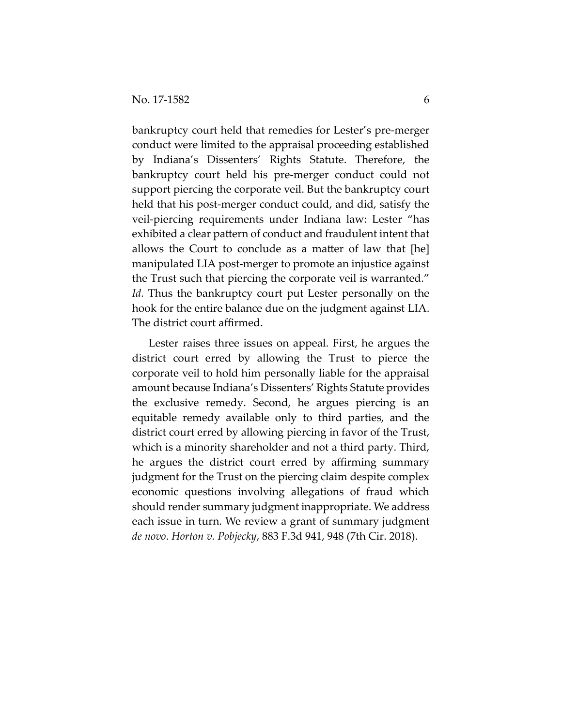bankruptcy court held that remedies for Lester's pre-merger conduct were limited to the appraisal proceeding established by Indiana's Dissenters' Rights Statute. Therefore, the bankruptcy court held his pre-merger conduct could not support piercing the corporate veil. But the bankruptcy court held that his post-merger conduct could, and did, satisfy the veil-piercing requirements under Indiana law: Lester "has exhibited a clear pattern of conduct and fraudulent intent that allows the Court to conclude as a matter of law that [he] manipulated LIA post-merger to promote an injustice against the Trust such that piercing the corporate veil is warranted." *Id.* Thus the bankruptcy court put Lester personally on the hook for the entire balance due on the judgment against LIA. The district court affirmed.

Lester raises three issues on appeal. First, he argues the district court erred by allowing the Trust to pierce the corporate veil to hold him personally liable for the appraisal amount because Indiana's Dissenters' Rights Statute provides the exclusive remedy. Second, he argues piercing is an equitable remedy available only to third parties, and the district court erred by allowing piercing in favor of the Trust, which is a minority shareholder and not a third party. Third, he argues the district court erred by affirming summary judgment for the Trust on the piercing claim despite complex economic questions involving allegations of fraud which should render summary judgment inappropriate. We address each issue in turn. We review a grant of summary judgment *de novo*. *Horton v. Pobjecky*, 883 F.3d 941, 948 (7th Cir. 2018).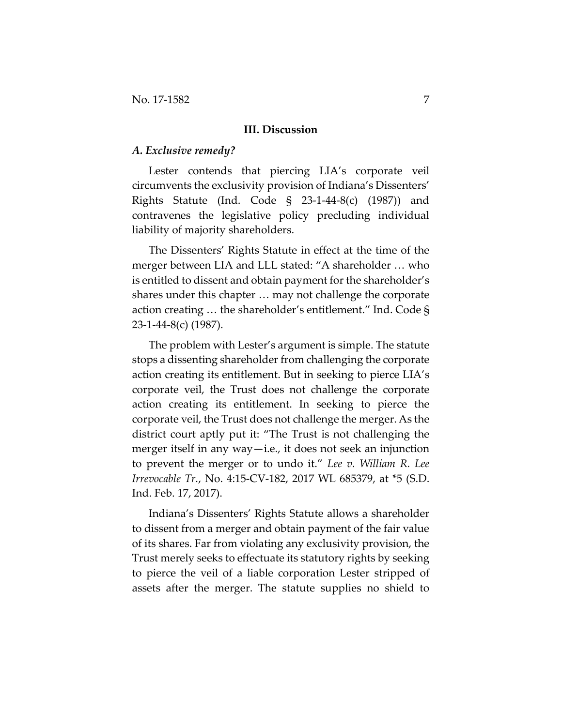#### **III. Discussion**

#### *A. Exclusive remedy?*

Lester contends that piercing LIA's corporate veil circumvents the exclusivity provision of Indiana's Dissenters' Rights Statute (Ind. Code § 23-1-44-8(c) (1987)) and contravenes the legislative policy precluding individual liability of majority shareholders.

The Dissenters' Rights Statute in effect at the time of the merger between LIA and LLL stated: "A shareholder … who is entitled to dissent and obtain payment for the shareholder's shares under this chapter … may not challenge the corporate action creating … the shareholder's entitlement." Ind. Code § 23-1-44-8(c) (1987).

The problem with Lester's argument is simple. The statute stops a dissenting shareholder from challenging the corporate action creating its entitlement. But in seeking to pierce LIA's corporate veil, the Trust does not challenge the corporate action creating its entitlement. In seeking to pierce the corporate veil, the Trust does not challenge the merger. As the district court aptly put it: "The Trust is not challenging the merger itself in any way—i.e., it does not seek an injunction to prevent the merger or to undo it." *Lee v. William R. Lee Irrevocable Tr.*, No. 4:15-CV-182, 2017 WL 685379, at \*5 (S.D. Ind. Feb. 17, 2017).

Indiana's Dissenters' Rights Statute allows a shareholder to dissent from a merger and obtain payment of the fair value of its shares. Far from violating any exclusivity provision, the Trust merely seeks to effectuate its statutory rights by seeking to pierce the veil of a liable corporation Lester stripped of assets after the merger. The statute supplies no shield to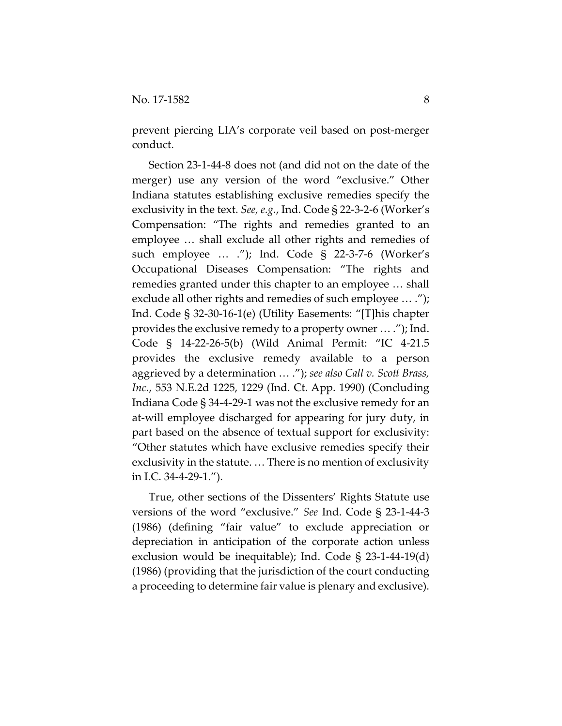prevent piercing LIA's corporate veil based on post-merger conduct.

Section 23-1-44-8 does not (and did not on the date of the merger) use any version of the word "exclusive." Other Indiana statutes establishing exclusive remedies specify the exclusivity in the text. *See, e.g.*, Ind. Code § 22-3-2-6 (Worker's Compensation: "The rights and remedies granted to an employee … shall exclude all other rights and remedies of such employee … ."); Ind. Code § 22-3-7-6 (Worker's Occupational Diseases Compensation: "The rights and remedies granted under this chapter to an employee … shall exclude all other rights and remedies of such employee … ."); Ind. Code § 32-30-16-1(e) (Utility Easements: "[T]his chapter provides the exclusive remedy to a property owner … ."); Ind. Code § 14-22-26-5(b) (Wild Animal Permit: "IC 4-21.5 provides the exclusive remedy available to a person aggrieved by a determination … ."); *see also Call v. Scott Brass, Inc.*, 553 N.E.2d 1225, 1229 (Ind. Ct. App. 1990) (Concluding Indiana Code § 34-4-29-1 was not the exclusive remedy for an at-will employee discharged for appearing for jury duty, in part based on the absence of textual support for exclusivity: "Other statutes which have exclusive remedies specify their exclusivity in the statute. … There is no mention of exclusivity in I.C. 34-4-29-1.").

True, other sections of the Dissenters' Rights Statute use versions of the word "exclusive." *See* Ind. Code § 23-1-44-3 (1986) (defining "fair value" to exclude appreciation or depreciation in anticipation of the corporate action unless exclusion would be inequitable); Ind. Code § 23-1-44-19(d) (1986) (providing that the jurisdiction of the court conducting a proceeding to determine fair value is plenary and exclusive).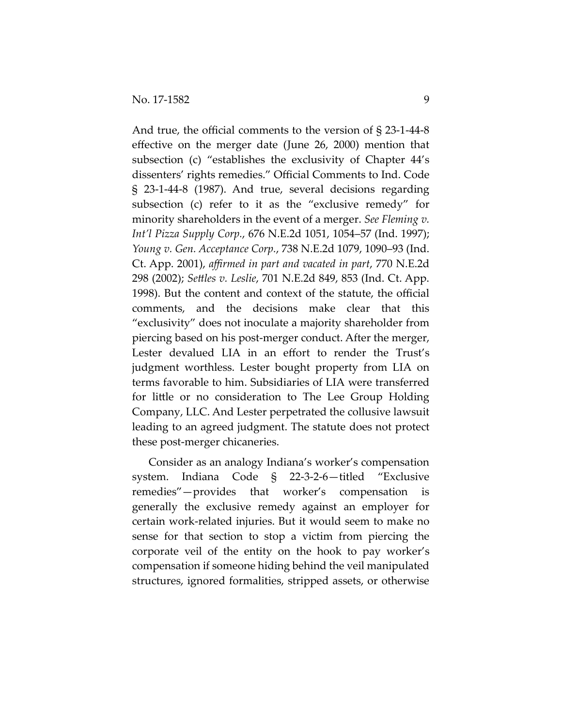And true, the official comments to the version of § 23-1-44-8 effective on the merger date (June 26, 2000) mention that subsection (c) "establishes the exclusivity of Chapter 44's dissenters' rights remedies." Official Comments to Ind. Code § 23-1-44-8 (1987). And true, several decisions regarding subsection (c) refer to it as the "exclusive remedy" for minority shareholders in the event of a merger. *See Fleming v. Int'l Pizza Supply Corp.*, 676 N.E.2d 1051, 1054–57 (Ind. 1997); *Young v. Gen. Acceptance Corp.*, 738 N.E.2d 1079, 1090–93 (Ind. Ct. App. 2001), *affirmed in part and vacated in part*, 770 N.E.2d 298 (2002); *Settles v. Leslie*, 701 N.E.2d 849, 853 (Ind. Ct. App. 1998). But the content and context of the statute, the official comments, and the decisions make clear that this "exclusivity" does not inoculate a majority shareholder from piercing based on his post-merger conduct. After the merger, Lester devalued LIA in an effort to render the Trust's judgment worthless. Lester bought property from LIA on terms favorable to him. Subsidiaries of LIA were transferred for little or no consideration to The Lee Group Holding Company, LLC. And Lester perpetrated the collusive lawsuit leading to an agreed judgment. The statute does not protect these post-merger chicaneries.

Consider as an analogy Indiana's worker's compensation system. Indiana Code § 22-3-2-6—titled "Exclusive remedies"—provides that worker's compensation is generally the exclusive remedy against an employer for certain work-related injuries. But it would seem to make no sense for that section to stop a victim from piercing the corporate veil of the entity on the hook to pay worker's compensation if someone hiding behind the veil manipulated structures, ignored formalities, stripped assets, or otherwise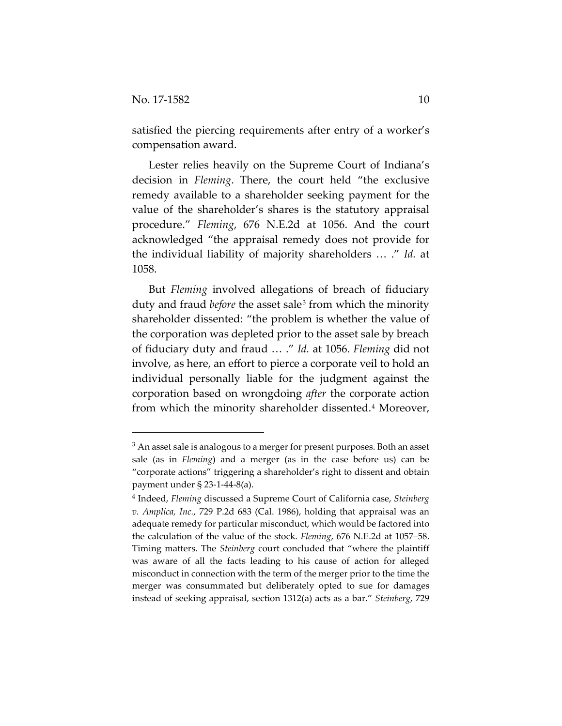satisfied the piercing requirements after entry of a worker's compensation award.

Lester relies heavily on the Supreme Court of Indiana's decision in *Fleming*. There, the court held "the exclusive remedy available to a shareholder seeking payment for the value of the shareholder's shares is the statutory appraisal procedure." *Fleming*, 676 N.E.2d at 1056. And the court acknowledged "the appraisal remedy does not provide for the individual liability of majority shareholders … ." *Id.* at 1058.

But *Fleming* involved allegations of breach of fiduciary duty and fraud *before* the asset sale<sup>[3](#page-9-0)</sup> from which the minority shareholder dissented: "the problem is whether the value of the corporation was depleted prior to the asset sale by breach of fiduciary duty and fraud … ." *Id.* at 1056. *Fleming* did not involve, as here, an effort to pierce a corporate veil to hold an individual personally liable for the judgment against the corporation based on wrongdoing *after* the corporate action from which the minority shareholder dissented.<sup>[4](#page-9-1)</sup> Moreover,

<span id="page-9-0"></span> $3$  An asset sale is analogous to a merger for present purposes. Both an asset sale (as in *Fleming*) and a merger (as in the case before us) can be "corporate actions" triggering a shareholder's right to dissent and obtain payment under § 23-1-44-8(a).

<span id="page-9-1"></span><sup>4</sup> Indeed, *Fleming* discussed a Supreme Court of California case, *Steinberg v. Amplica, Inc.*, 729 P.2d 683 (Cal. 1986), holding that appraisal was an adequate remedy for particular misconduct, which would be factored into the calculation of the value of the stock. *Fleming*, 676 N.E.2d at 1057–58. Timing matters. The *Steinberg* court concluded that "where the plaintiff was aware of all the facts leading to his cause of action for alleged misconduct in connection with the term of the merger prior to the time the merger was consummated but deliberately opted to sue for damages instead of seeking appraisal, section 1312(a) acts as a bar." *Steinberg*, 729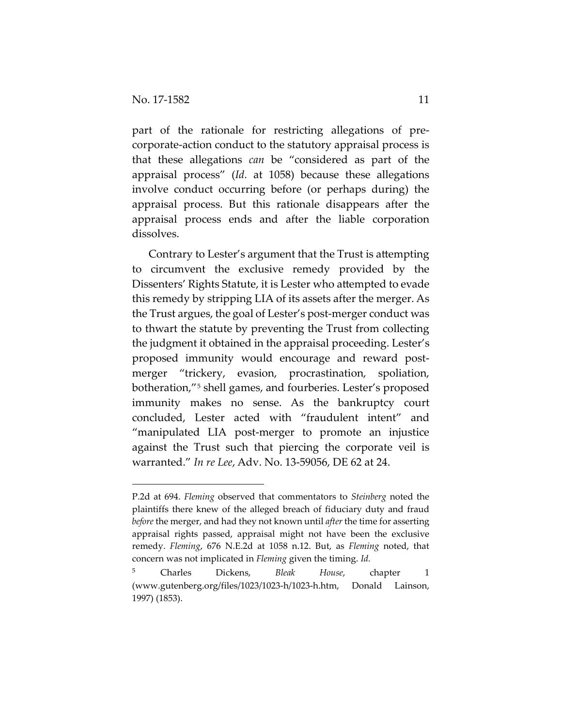part of the rationale for restricting allegations of precorporate-action conduct to the statutory appraisal process is that these allegations *can* be "considered as part of the appraisal process" (*Id.* at 1058) because these allegations involve conduct occurring before (or perhaps during) the appraisal process. But this rationale disappears after the appraisal process ends and after the liable corporation dissolves.

Contrary to Lester's argument that the Trust is attempting to circumvent the exclusive remedy provided by the Dissenters' Rights Statute, it is Lester who attempted to evade this remedy by stripping LIA of its assets after the merger. As the Trust argues, the goal of Lester's post-merger conduct was to thwart the statute by preventing the Trust from collecting the judgment it obtained in the appraisal proceeding. Lester's proposed immunity would encourage and reward postmerger "trickery, evasion, procrastination, spoliation, botheration,"[5](#page-10-0) shell games, and fourberies. Lester's proposed immunity makes no sense. As the bankruptcy court concluded, Lester acted with "fraudulent intent" and "manipulated LIA post-merger to promote an injustice against the Trust such that piercing the corporate veil is warranted." *In re Lee*, Adv. No. 13-59056, DE 62 at 24.

P.2d at 694. *Fleming* observed that commentators to *Steinberg* noted the plaintiffs there knew of the alleged breach of fiduciary duty and fraud *before* the merger, and had they not known until *after* the time for asserting appraisal rights passed, appraisal might not have been the exclusive remedy. *Fleming*, 676 N.E.2d at 1058 n.12. But, as *Fleming* noted, that concern was not implicated in *Fleming* given the timing. *Id.*

<span id="page-10-0"></span><sup>5</sup> Charles Dickens, *Bleak House*, chapter 1 (www.gutenberg.org/files/1023/1023-h/1023-h.htm, Donald Lainson, 1997) (1853).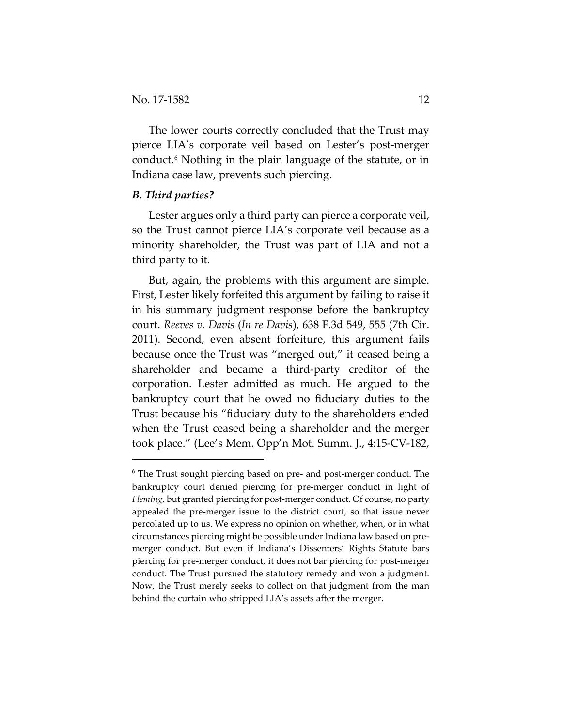The lower courts correctly concluded that the Trust may pierce LIA's corporate veil based on Lester's post-merger conduct.[6](#page-11-0) Nothing in the plain language of the statute, or in Indiana case law, prevents such piercing.

# *B. Third parties?*

 $\overline{a}$ 

Lester argues only a third party can pierce a corporate veil, so the Trust cannot pierce LIA's corporate veil because as a minority shareholder, the Trust was part of LIA and not a third party to it.

But, again, the problems with this argument are simple. First, Lester likely forfeited this argument by failing to raise it in his summary judgment response before the bankruptcy court. *Reeves v. Davis* (*In re Davis*), 638 F.3d 549, 555 (7th Cir. 2011). Second, even absent forfeiture, this argument fails because once the Trust was "merged out," it ceased being a shareholder and became a third-party creditor of the corporation. Lester admitted as much. He argued to the bankruptcy court that he owed no fiduciary duties to the Trust because his "fiduciary duty to the shareholders ended when the Trust ceased being a shareholder and the merger took place." (Lee's Mem. Opp'n Mot. Summ. J., 4:15-CV-182,

<span id="page-11-0"></span><sup>&</sup>lt;sup>6</sup> The Trust sought piercing based on pre- and post-merger conduct. The bankruptcy court denied piercing for pre-merger conduct in light of *Fleming*, but granted piercing for post-merger conduct. Of course, no party appealed the pre-merger issue to the district court, so that issue never percolated up to us. We express no opinion on whether, when, or in what circumstances piercing might be possible under Indiana law based on premerger conduct. But even if Indiana's Dissenters' Rights Statute bars piercing for pre-merger conduct, it does not bar piercing for post-merger conduct. The Trust pursued the statutory remedy and won a judgment. Now, the Trust merely seeks to collect on that judgment from the man behind the curtain who stripped LIA's assets after the merger.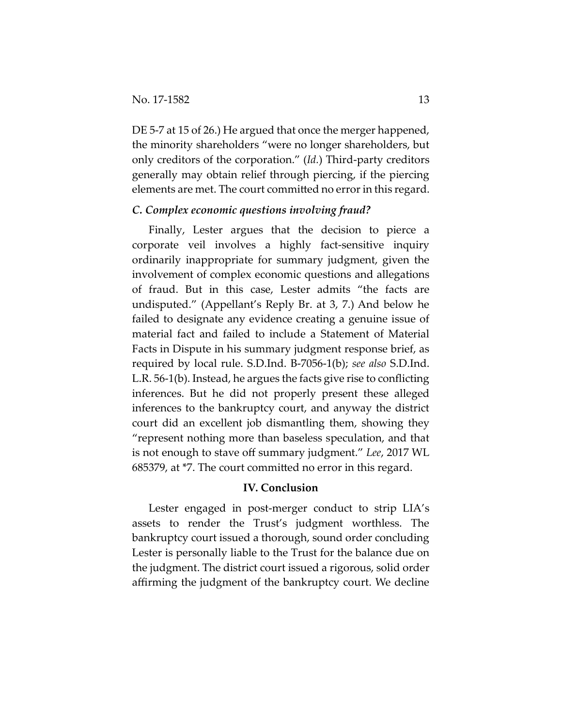DE 5-7 at 15 of 26.) He argued that once the merger happened, the minority shareholders "were no longer shareholders, but only creditors of the corporation." (*Id.*) Third-party creditors generally may obtain relief through piercing, if the piercing elements are met. The court committed no error in this regard.

# *C. Complex economic questions involving fraud?*

Finally, Lester argues that the decision to pierce a corporate veil involves a highly fact-sensitive inquiry ordinarily inappropriate for summary judgment, given the involvement of complex economic questions and allegations of fraud. But in this case, Lester admits "the facts are undisputed." (Appellant's Reply Br. at 3, 7.) And below he failed to designate any evidence creating a genuine issue of material fact and failed to include a Statement of Material Facts in Dispute in his summary judgment response brief, as required by local rule. S.D.Ind. B-7056-1(b); *see also* S.D.Ind. L.R. 56-1(b). Instead, he argues the facts give rise to conflicting inferences. But he did not properly present these alleged inferences to the bankruptcy court, and anyway the district court did an excellent job dismantling them, showing they "represent nothing more than baseless speculation, and that is not enough to stave off summary judgment." *Lee*, 2017 WL 685379, at \*7. The court committed no error in this regard.

#### **IV. Conclusion**

Lester engaged in post-merger conduct to strip LIA's assets to render the Trust's judgment worthless. The bankruptcy court issued a thorough, sound order concluding Lester is personally liable to the Trust for the balance due on the judgment. The district court issued a rigorous, solid order affirming the judgment of the bankruptcy court. We decline